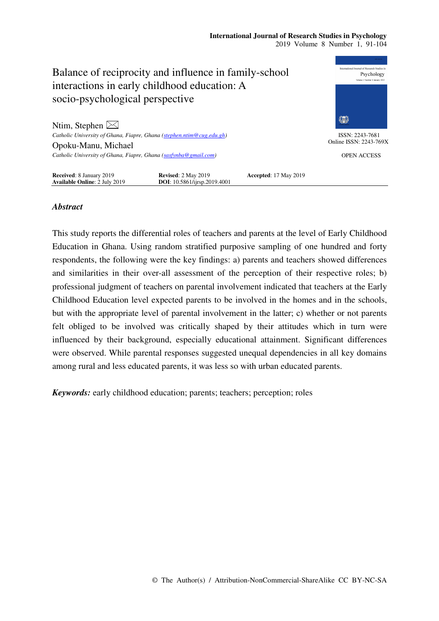## **International Journal of Research Studies in Psychology**  2019 Volume 8 Number 1, 91-104



# *Abstract*

This study reports the differential roles of teachers and parents at the level of Early Childhood Education in Ghana. Using random stratified purposive sampling of one hundred and forty respondents, the following were the key findings: a) parents and teachers showed differences and similarities in their over-all assessment of the perception of their respective roles; b) professional judgment of teachers on parental involvement indicated that teachers at the Early Childhood Education level expected parents to be involved in the homes and in the schools, but with the appropriate level of parental involvement in the latter; c) whether or not parents felt obliged to be involved was critically shaped by their attitudes which in turn were influenced by their background, especially educational attainment. Significant differences were observed. While parental responses suggested unequal dependencies in all key domains among rural and less educated parents, it was less so with urban educated parents.

*Keywords:* early childhood education; parents; teachers; perception; roles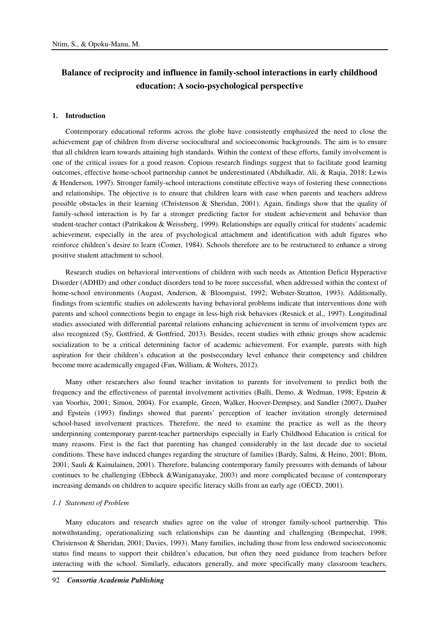# **Balance of reciprocity and influence in family-school interactions in early childhood education: A socio-psychological perspective**

#### **1. Introduction**

Contemporary educational reforms across the globe have consistently emphasized the need to close the achievement gap of children from diverse sociocultural and socioeconomic backgrounds. The aim is to ensure that all children learn towards attaining high standards. Within the context of these efforts, family involvement is one of the critical issues for a good reason. Copious research findings suggest that to facilitate good learning outcomes, effective home-school partnership cannot be underestimated (Abdulkadir, Ali, & Raqia, 2018; Lewis & Henderson, 1997). Stronger family-school interactions constitute effective ways of fostering these connections and relationships. The objective is to ensure that children learn with ease when parents and teachers address possible obstacles in their learning (Christenson & Sheridan, 2001). Again, findings show that the quality of family-school interaction is by far a stronger predicting factor for student achievement and behavior than student-teacher contact (Patrikakou & Weissberg, 1999). Relationships are equally critical for students' academic achievement, especially in the area of psychological attachment and identification with adult figures who reinforce children's desire to learn (Comer, 1984). Schools therefore are to be restructured to enhance a strong positive student attachment to school.

Research studies on behavioral interventions of children with such needs as Attention Deficit Hyperactive Disorder (ADHD) and other conduct disorders tend to be more successful, when addressed within the context of home-school environments (August, Anderson, & Bloomguist, 1992; Webster-Stratton, 1993). Additionally, findings from scientific studies on adolescents having behavioral problems indicate that interventions done with parents and school connections begin to engage in less-high risk behaviors (Resnick et al., 1997). Longitudinal studies associated with differential parental relations enhancing achievement in terms of involvement types are also recognized (Sy, Gottfried, & Gottfried, 2013). Besides, recent studies with ethnic groups show academic socialization to be a critical determining factor of academic achievement. For example, parents with high aspiration for their children's education at the postsecondary level enhance their competency and children become more academically engaged (Fan, William, & Wolters, 2012).

Many other researchers also found teacher invitation to parents for involvement to predict both the frequency and the effectiveness of parental involvement activities (Balli, Demo, & Wedman, 1998; Epstein & van Voorhis, 2001; Simon, 2004). For example, Green, Walker, Hoover-Dempsey, and Sandler (2007), Dauber and Epstein (1993) findings showed that parents' perception of teacher invitation strongly determined school-based involvement practices. Therefore, the need to examine the practice as well as the theory underpinning contemporary parent-teacher partnerships especially in Early Childhood Education is critical for many reasons. First is the fact that parenting has changed considerably in the last decade due to societal conditions. These have induced changes regarding the structure of families (Bardy, Salmi, & Heino, 2001; Blom, 2001; Sauli & Kainulainen, 2001). Therefore, balancing contemporary family pressures with demands of labour continues to be challenging (Ebbeck &Waniganayake, 2003) and more complicated because of contemporary increasing demands on children to acquire specific literacy skills from an early age (OECD, 2001).

#### *1.1 Statement of Problem*

Many educators and research studies agree on the value of stronger family-school partnership. This notwithstanding, operationalizing such relationships can be daunting and challenging (Bempechat, 1998; Christenson & Sheridan, 2001; Davies, 1993). Many families, including those from less endowed socioeconomic status find means to support their children's education, but often they need guidance from teachers before interacting with the school. Similarly, educators generally, and more specifically many classroom teachers,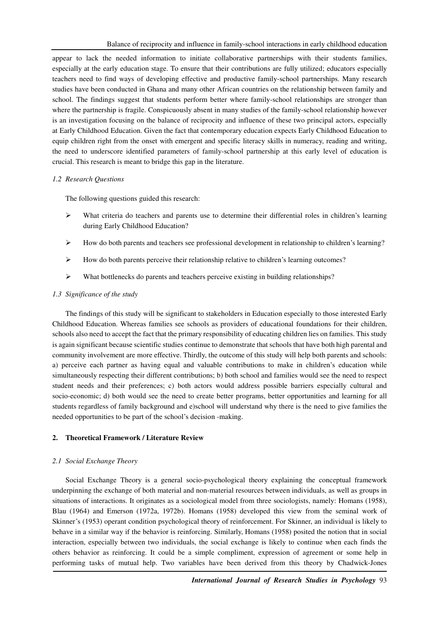appear to lack the needed information to initiate collaborative partnerships with their students families, especially at the early education stage. To ensure that their contributions are fully utilized; educators especially teachers need to find ways of developing effective and productive family-school partnerships. Many research studies have been conducted in Ghana and many other African countries on the relationship between family and school. The findings suggest that students perform better where family-school relationships are stronger than where the partnership is fragile. Conspicuously absent in many studies of the family-school relationship however is an investigation focusing on the balance of reciprocity and influence of these two principal actors, especially at Early Childhood Education. Given the fact that contemporary education expects Early Childhood Education to equip children right from the onset with emergent and specific literacy skills in numeracy, reading and writing, the need to underscore identified parameters of family-school partnership at this early level of education is crucial. This research is meant to bridge this gap in the literature.

# *1.2 Research Questions*

The following questions guided this research:

- $\triangleright$  What criteria do teachers and parents use to determine their differential roles in children's learning during Early Childhood Education?
- $\triangleright$  How do both parents and teachers see professional development in relationship to children's learning?
- $\triangleright$  How do both parents perceive their relationship relative to children's learning outcomes?
- What bottlenecks do parents and teachers perceive existing in building relationships?

# *1.3 Significance of the study*

The findings of this study will be significant to stakeholders in Education especially to those interested Early Childhood Education. Whereas families see schools as providers of educational foundations for their children, schools also need to accept the fact that the primary responsibility of educating children lies on families. This study is again significant because scientific studies continue to demonstrate that schools that have both high parental and community involvement are more effective. Thirdly, the outcome of this study will help both parents and schools: a) perceive each partner as having equal and valuable contributions to make in children's education while simultaneously respecting their different contributions; b) both school and families would see the need to respect student needs and their preferences; c) both actors would address possible barriers especially cultural and socio-economic; d) both would see the need to create better programs, better opportunities and learning for all students regardless of family background and e)school will understand why there is the need to give families the needed opportunities to be part of the school's decision -making.

# **2. Theoretical Framework / Literature Review**

# *2.1 Social Exchange Theory*

Social Exchange Theory is a general socio-psychological theory explaining the conceptual framework underpinning the exchange of both material and non-material resources between individuals, as well as groups in situations of interactions. It originates as a sociological model from three sociologists, namely: Homans (1958), Blau (1964) and Emerson (1972a, 1972b). Homans (1958) developed this view from the seminal work of Skinner's (1953) operant condition psychological theory of reinforcement. For Skinner, an individual is likely to behave in a similar way if the behavior is reinforcing. Similarly, Homans (1958) posited the notion that in social interaction, especially between two individuals, the social exchange is likely to continue when each finds the others behavior as reinforcing. It could be a simple compliment, expression of agreement or some help in performing tasks of mutual help. Two variables have been derived from this theory by Chadwick-Jones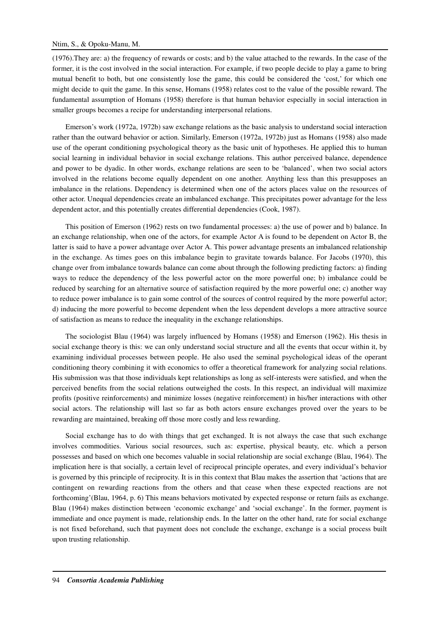## Ntim, S., & Opoku-Manu, M.

(1976).They are: a) the frequency of rewards or costs; and b) the value attached to the rewards. In the case of the former, it is the cost involved in the social interaction. For example, if two people decide to play a game to bring mutual benefit to both, but one consistently lose the game, this could be considered the 'cost,' for which one might decide to quit the game. In this sense, Homans (1958) relates cost to the value of the possible reward. The fundamental assumption of Homans (1958) therefore is that human behavior especially in social interaction in smaller groups becomes a recipe for understanding interpersonal relations.

Emerson's work (1972a, 1972b) saw exchange relations as the basic analysis to understand social interaction rather than the outward behavior or action. Similarly, Emerson (1972a, 1972b) just as Homans (1958) also made use of the operant conditioning psychological theory as the basic unit of hypotheses. He applied this to human social learning in individual behavior in social exchange relations. This author perceived balance, dependence and power to be dyadic. In other words, exchange relations are seen to be 'balanced', when two social actors involved in the relations become equally dependent on one another. Anything less than this presupposes an imbalance in the relations. Dependency is determined when one of the actors places value on the resources of other actor. Unequal dependencies create an imbalanced exchange. This precipitates power advantage for the less dependent actor, and this potentially creates differential dependencies (Cook, 1987).

This position of Emerson (1962) rests on two fundamental processes: a) the use of power and b) balance. In an exchange relationship, when one of the actors, for example Actor A is found to be dependent on Actor B, the latter is said to have a power advantage over Actor A. This power advantage presents an imbalanced relationship in the exchange. As times goes on this imbalance begin to gravitate towards balance. For Jacobs (1970), this change over from imbalance towards balance can come about through the following predicting factors: a) finding ways to reduce the dependency of the less powerful actor on the more powerful one; b) imbalance could be reduced by searching for an alternative source of satisfaction required by the more powerful one; c) another way to reduce power imbalance is to gain some control of the sources of control required by the more powerful actor; d) inducing the more powerful to become dependent when the less dependent develops a more attractive source of satisfaction as means to reduce the inequality in the exchange relationships.

The sociologist Blau (1964) was largely influenced by Homans (1958) and Emerson (1962). His thesis in social exchange theory is this: we can only understand social structure and all the events that occur within it, by examining individual processes between people. He also used the seminal psychological ideas of the operant conditioning theory combining it with economics to offer a theoretical framework for analyzing social relations. His submission was that those individuals kept relationships as long as self-interests were satisfied, and when the perceived benefits from the social relations outweighed the costs. In this respect, an individual will maximize profits (positive reinforcements) and minimize losses (negative reinforcement) in his/her interactions with other social actors. The relationship will last so far as both actors ensure exchanges proved over the years to be rewarding are maintained, breaking off those more costly and less rewarding.

Social exchange has to do with things that get exchanged. It is not always the case that such exchange involves commodities. Various social resources, such as: expertise, physical beauty, etc. which a person possesses and based on which one becomes valuable in social relationship are social exchange (Blau, 1964). The implication here is that socially, a certain level of reciprocal principle operates, and every individual's behavior is governed by this principle of reciprocity. It is in this context that Blau makes the assertion that 'actions that are contingent on rewarding reactions from the others and that cease when these expected reactions are not forthcoming'(Blau, 1964, p. 6) This means behaviors motivated by expected response or return fails as exchange. Blau (1964) makes distinction between 'economic exchange' and 'social exchange'. In the former, payment is immediate and once payment is made, relationship ends. In the latter on the other hand, rate for social exchange is not fixed beforehand, such that payment does not conclude the exchange, exchange is a social process built upon trusting relationship.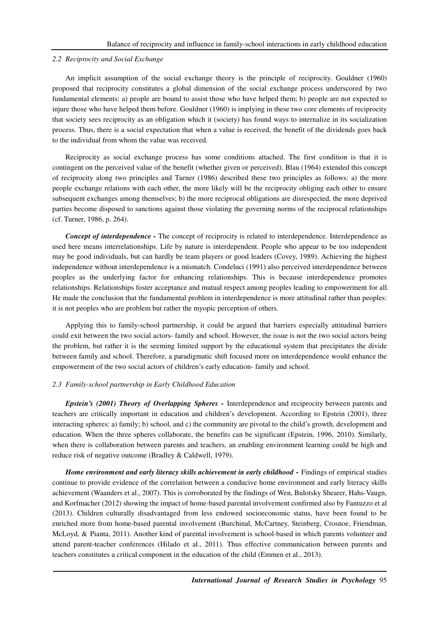#### *2.2 Reciprocity and Social Exchange*

An implicit assumption of the social exchange theory is the principle of reciprocity. Gouldner (1960) proposed that reciprocity constitutes a global dimension of the social exchange process underscored by two fundamental elements: a) people are bound to assist those who have helped them; b) people are not expected to injure those who have helped them before. Gouldner (1960) is implying in these two core elements of reciprocity that society sees reciprocity as an obligation which it (society) has found ways to internalize in its socialization process. Thus, there is a social expectation that when a value is received, the benefit of the dividends goes back to the individual from whom the value was received.

Reciprocity as social exchange process has some conditions attached. The first condition is that it is contingent on the perceived value of the benefit (whether given or perceived). Blau (1964) extended this concept of reciprocity along two principles and Turner (1986) described these two principles as follows: a) the more people exchange relations with each other, the more likely will be the reciprocity obliging each other to ensure subsequent exchanges among themselves; b) the more reciprocal obligations are disrespected, the more deprived parties become disposed to sanctions against those violating the governing norms of the reciprocal relationships (cf. Turner, 1986, p. 264).

*Concept of interdependence* - The concept of reciprocity is related to interdependence. Interdependence as used here means interrelationships. Life by nature is interdependent. People who appear to be too independent may be good individuals, but can hardly be team players or good leaders (Covey, 1989). Achieving the highest independence without interdependence is a mismatch. Condeluci (1991) also perceived interdependence between peoples as the underlying factor for enhancing relationships. This is because interdependence promotes relationships. Relationships foster acceptance and mutual respect among peoples leading to empowerment for all. He made the conclusion that the fundamental problem in interdependence is more attitudinal rather than peoples: it is not peoples who are problem but rather the myopic perception of others.

Applying this to family-school partnership, it could be argued that barriers especially attitudinal barriers could exit between the two social actors- family and school. However, the issue is not the two social actors being the problem, but rather it is the seeming limited support by the educational system that precipitates the divide between family and school. Therefore, a paradigmatic shift focused more on interdependence would enhance the empowerment of the two social actors of children's early education- family and school.

#### *2.3 Family-school partnership in Early Childhood Education*

*Epstein's (2001) Theory of Overlapping Spheres -* Interdependence and reciprocity between parents and teachers are critically important in education and children's development. According to Epstein (2001), three interacting spheres: a) family; b) school, and c) the community are pivotal to the child's growth, development and education. When the three spheres collaborate, the benefits can be significant (Epstein, 1996, 2010). Similarly, when there is collaboration between parents and teachers, an enabling environment learning could be high and reduce risk of negative outcome (Bradley & Caldwell, 1979).

*Home environment and early literacy skills achievement in early childhood - Findings of empirical studies* continue to provide evidence of the correlation between a conducive home environment and early literacy skills achievement (Waanders et al., 2007). This is corroborated by the findings of Wen, Bulotsky Shearer, Hahs-Vaugn, and Korfmacher (2012) showing the impact of home-based parental involvement confirmed also by Fantuzzo et al (2013). Children culturally disadvantaged from less endowed socioeconomic status, have been found to be enriched more from home-based parental involvement (Burchinal, McCartney, Steinberg, Crosnoe, Friendman, McLoyd, & Pianta, 2011). Another kind of parental involvement is school-based in which parents volunteer and attend parent-teacher conferences (Hilado et al., 2011). Thus effective communication between parents and teachers constitutes a critical component in the education of the child (Emmen et al., 2013).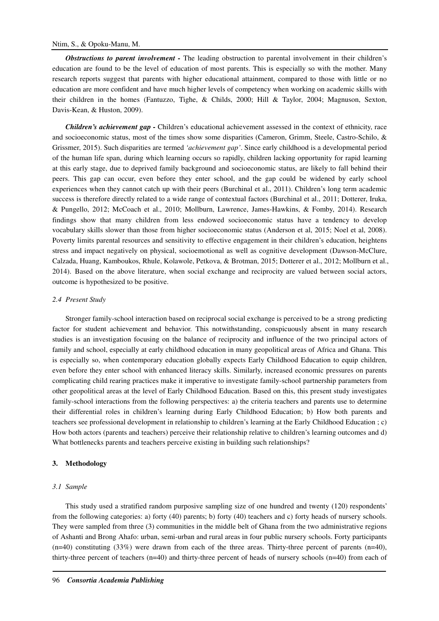## Ntim, S., & Opoku-Manu, M.

*Obstructions to parent involvement -* The leading obstruction to parental involvement in their children's education are found to be the level of education of most parents. This is especially so with the mother. Many research reports suggest that parents with higher educational attainment, compared to those with little or no education are more confident and have much higher levels of competency when working on academic skills with their children in the homes (Fantuzzo, Tighe, & Childs, 2000; Hill & Taylor, 2004; Magnuson, Sexton, Davis-Kean, & Huston, 2009).

*Children's achievement gap -* Children's educational achievement assessed in the context of ethnicity, race and socioeconomic status, most of the times show some disparities (Cameron, Grimm, Steele, Castro-Schilo, & Grissmer, 2015). Such disparities are termed *'achievement gap'*. Since early childhood is a developmental period of the human life span, during which learning occurs so rapidly, children lacking opportunity for rapid learning at this early stage, due to deprived family background and socioeconomic status, are likely to fall behind their peers. This gap can occur, even before they enter school, and the gap could be widened by early school experiences when they cannot catch up with their peers (Burchinal et al., 2011). Children's long term academic success is therefore directly related to a wide range of contextual factors (Burchinal et al., 2011; Dotterer, Iruka, & Pungello, 2012; McCoach et al., 2010; Mollburn, Lawrence, James-Hawkins, & Fomby, 2014). Research findings show that many children from less endowed socioeconomic status have a tendency to develop vocabulary skills slower than those from higher socioeconomic status (Anderson et al, 2015; Noel et al, 2008). Poverty limits parental resources and sensitivity to effective engagement in their children's education, heightens stress and impact negatively on physical, socioemotional as well as cognitive development (Dawson-McClure, Calzada, Huang, Kamboukos, Rhule, Kolawole, Petkova, & Brotman, 2015; Dotterer et al., 2012; Mollburn et al., 2014). Based on the above literature, when social exchange and reciprocity are valued between social actors, outcome is hypothesized to be positive.

#### *2.4 Present Study*

Stronger family-school interaction based on reciprocal social exchange is perceived to be a strong predicting factor for student achievement and behavior. This notwithstanding, conspicuously absent in many research studies is an investigation focusing on the balance of reciprocity and influence of the two principal actors of family and school, especially at early childhood education in many geopolitical areas of Africa and Ghana. This is especially so, when contemporary education globally expects Early Childhood Education to equip children, even before they enter school with enhanced literacy skills. Similarly, increased economic pressures on parents complicating child rearing practices make it imperative to investigate family-school partnership parameters from other geopolitical areas at the level of Early Childhood Education. Based on this, this present study investigates family-school interactions from the following perspectives: a) the criteria teachers and parents use to determine their differential roles in children's learning during Early Childhood Education; b) How both parents and teachers see professional development in relationship to children's learning at the Early Childhood Education ; c) How both actors (parents and teachers) perceive their relationship relative to children's learning outcomes and d) What bottlenecks parents and teachers perceive existing in building such relationships?

## **3. Methodology**

#### *3.1 Sample*

This study used a stratified random purposive sampling size of one hundred and twenty (120) respondents' from the following categories: a) forty (40) parents; b) forty (40) teachers and c) forty heads of nursery schools. They were sampled from three (3) communities in the middle belt of Ghana from the two administrative regions of Ashanti and Brong Ahafo: urban, semi-urban and rural areas in four public nursery schools. Forty participants  $(n=40)$  constituting (33%) were drawn from each of the three areas. Thirty-three percent of parents  $(n=40)$ , thirty-three percent of teachers (n=40) and thirty-three percent of heads of nursery schools (n=40) from each of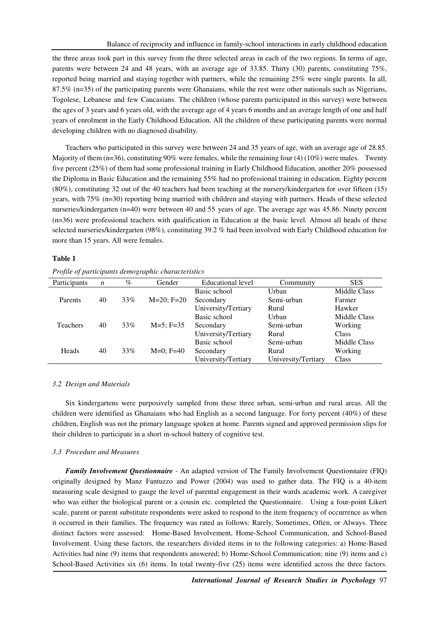the three areas took part in this survey from the three selected areas in each of the two regions. In terms of age, parents were between 24 and 48 years, with an average age of 33.85. Thirty (30) parents, constituting 75%, reported being married and staying together with partners, while the remaining 25% were single parents. In all, 87.5% (n=35) of the participating parents were Ghanaians, while the rest were other nationals such as Nigerians, Togolese, Lebanese and few Caucasians. The children (whose parents participated in this survey) were between the ages of 3 years and 6 years old, with the average age of 4 years 6 months and an average length of one and half years of enrolment in the Early Childhood Education. All the children of these participating parents were normal developing children with no diagnosed disability.

Teachers who participated in this survey were between 24 and 35 years of age, with an average age of 28.85. Majority of them (n=36), constituting 90% were females, while the remaining four (4) (10%) were males. Twenty five percent (25%) of them had some professional training in Early Childhood Education, another 20% possessed the Diploma in Basic Education and the remaining 55% had no professional training in education. Eighty percent (80%), constituting 32 out of the 40 teachers had been teaching at the nursery/kindergarten for over fifteen (15) years, with 75% (n=30) reporting being married with children and staying with partners. Heads of these selected nurseries/kindergarten (n=40) were between 40 and 55 years of age. The average age was 45.86. Ninety percent (n=36) were professional teachers with qualification in Education at the basic level. Almost all heads of these selected nurseries/kindergarten (98%), constituting 39.2 % had been involved with Early Childhood education for more than 15 years. All were females.

#### **Table 1**

*Profile of participants demographic characteristics*

| Participants    | n  | $\%$ | Gender       | Educational level   | Community           | <b>SES</b>   |
|-----------------|----|------|--------------|---------------------|---------------------|--------------|
|                 |    |      |              | Basic school        | Urban               | Middle Class |
| Parents         | 40 | 33%  | $M=20; F=20$ | Secondary           | Semi-urban          | Farmer       |
|                 |    |      |              | University/Tertiary | Rural               | Hawker       |
|                 |    |      |              | Basic school        | Urban               | Middle Class |
| <b>Teachers</b> | 40 | 33%  | $M=5$ ; F=35 | Secondary           | Semi-urban          | Working      |
|                 |    |      |              | University/Tertiary | Rural               | Class        |
|                 |    |      |              | Basic school        | Semi-urban          | Middle Class |
| Heads           | 40 | 33%  | $M=0$ : F=40 | Secondary           | Rural               | Working      |
|                 |    |      |              | University/Tertiary | University/Tertiary | Class        |

### *3.2 Design and Materials*

Six kindergartens were purposively sampled from these three urban, semi-urban and rural areas. All the children were identified as Ghanaians who had English as a second language. For forty percent (40%) of these children, English was not the primary language spoken at home. Parents signed and approved permission slips for their children to participate in a short in-school battery of cognitive test.

#### *3.3 Procedure and Measures*

*Family Involvement Questionnaire -* An adapted version of The Family Involvement Questionnaire (FIQ) originally designed by Manz Fantuzzo and Power (2004) was used to gather data. The FIQ is a 40-item measuring scale designed to gauge the level of parental engagement in their wards academic work. A caregiver who was either the biological parent or a cousin etc. completed the Questionnaire. Using a four-point Likert scale, parent or parent substitute respondents were asked to respond to the item frequency of occurrence as when it occurred in their families. The frequency was rated as follows: Rarely, Sometimes, Often, or Always. Three distinct factors were assessed: Home-Based Involvement, Home-School Communication, and School-Based Involvement. Using these factors, the researchers divided items in to the following categories: a) Home-Based Activities had nine (9) items that respondents answered; b) Home-School Communication; nine (9) items and c) School-Based Activities six (6) items. In total twenty-five (25) items were identified across the three factors.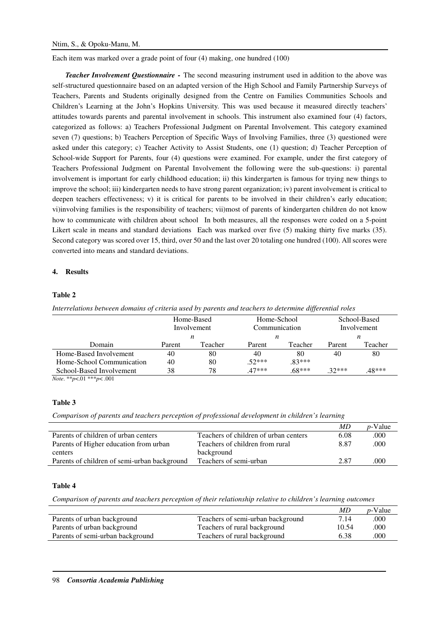Each item was marked over a grade point of four (4) making, one hundred (100)

*Teacher Involvement Questionnaire - The second measuring instrument used in addition to the above was* self-structured questionnaire based on an adapted version of the High School and Family Partnership Surveys of Teachers, Parents and Students originally designed from the Centre on Families Communities Schools and Children's Learning at the John's Hopkins University. This was used because it measured directly teachers' attitudes towards parents and parental involvement in schools. This instrument also examined four (4) factors, categorized as follows: a) Teachers Professional Judgment on Parental Involvement. This category examined seven (7) questions; b) Teachers Perception of Specific Ways of Involving Families, three (3) questioned were asked under this category; c) Teacher Activity to Assist Students, one (1) question; d) Teacher Perception of School-wide Support for Parents, four (4) questions were examined. For example, under the first category of Teachers Professional Judgment on Parental Involvement the following were the sub-questions: i) parental involvement is important for early childhood education; ii) this kindergarten is famous for trying new things to improve the school; iii) kindergarten needs to have strong parent organization; iv) parent involvement is critical to deepen teachers effectiveness; v) it is critical for parents to be involved in their children's early education; vi)involving families is the responsibility of teachers; vii)most of parents of kindergarten children do not know how to communicate with children about school In both measures, all the responses were coded on a 5-point Likert scale in means and standard deviations Each was marked over five (5) making thirty five marks (35). Second category was scored over 15, third, over 50 and the last over 20 totaling one hundred (100). All scores were converted into means and standard deviations.

# **4. Results**

## **Table 2**

*Interrelations between domains of criteria used by parents and teachers to determine differential roles* 

|                           | Home-Based<br>Involvement |         | Home-School<br>Communication |          | School-Based<br>Involvement |         |
|---------------------------|---------------------------|---------|------------------------------|----------|-----------------------------|---------|
|                           | n                         |         | n                            |          | n                           |         |
| Domain                    | Parent                    | Teacher | Parent                       | Teacher  | Parent                      | Teacher |
| Home-Based Involvement    | 40                        | 80      | 40                           | 80       | 40                          | 80      |
| Home-School Communication | 40                        | 80      | $.52***$                     | $.83***$ |                             |         |
| School-Based Involvement  | 38                        | 78      | $47***$                      | $.68***$ | $32***$                     | 48***   |

*Note*. \*\**p*<.01 \*\*\**p*< .001

## **Table 3**

*Comparison of parents and teachers perception of professional development in children's learning* 

|                                       | MD   | <i>p</i> -Value |
|---------------------------------------|------|-----------------|
| Teachers of children of urban centers | 6.08 | .000            |
| Teachers of children from rural       | 8.87 | .000            |
| background                            |      |                 |
| Teachers of semi-urban                | 2.87 | .000            |
|                                       |      |                 |

#### **Table 4**

*Comparison of parents and teachers perception of their relationship relative to children's learning outcomes* 

|                                  |                                   | MD    | $p$ -Value |
|----------------------------------|-----------------------------------|-------|------------|
| Parents of urban background      | Teachers of semi-urban background | 7.14  | .000       |
| Parents of urban background      | Teachers of rural background      | 10.54 | .000       |
| Parents of semi-urban background | Teachers of rural background      | 6.38  | .000       |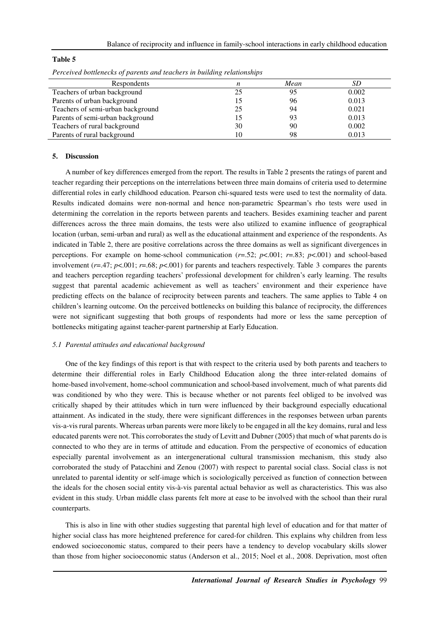#### **Table 5**

| Respondents                       |    | Mean |       |
|-----------------------------------|----|------|-------|
| Teachers of urban background      | 25 |      | 0.002 |
| Parents of urban background       |    | 96   | 0.013 |
| Teachers of semi-urban background | 25 | 94   | 0.021 |
| Parents of semi-urban background  |    | 93   | 0.013 |
| Teachers of rural background      | 30 | 90   | 0.002 |
| Parents of rural background       | 10 | 98   | 0.013 |

*Perceived bottlenecks of parents and teachers in building relationships* 

#### **5. Discussion**

A number of key differences emerged from the report. The results in Table 2 presents the ratings of parent and teacher regarding their perceptions on the interrelations between three main domains of criteria used to determine differential roles in early childhood education. Pearson chi-squared tests were used to test the normality of data. Results indicated domains were non-normal and hence non-parametric Spearman's rho tests were used in determining the correlation in the reports between parents and teachers. Besides examining teacher and parent differences across the three main domains, the tests were also utilized to examine influence of geographical location (urban, semi-urban and rural) as well as the educational attainment and experience of the respondents. As indicated in Table 2, there are positive correlations across the three domains as well as significant divergences in perceptions. For example on home-school communication  $(r=52; p<.001; r=.83; p<.001)$  and school-based involvement ( $r=0.47$ ;  $p<.001$ ;  $r=.68$ ;  $p<.001$ ) for parents and teachers respectively. Table 3 compares the parents and teachers perception regarding teachers' professional development for children's early learning. The results suggest that parental academic achievement as well as teachers' environment and their experience have predicting effects on the balance of reciprocity between parents and teachers. The same applies to Table 4 on children's learning outcome. On the perceived bottlenecks on building this balance of reciprocity, the differences were not significant suggesting that both groups of respondents had more or less the same perception of bottlenecks mitigating against teacher-parent partnership at Early Education.

#### *5.1 Parental attitudes and educational background*

One of the key findings of this report is that with respect to the criteria used by both parents and teachers to determine their differential roles in Early Childhood Education along the three inter-related domains of home-based involvement, home-school communication and school-based involvement, much of what parents did was conditioned by who they were. This is because whether or not parents feel obliged to be involved was critically shaped by their attitudes which in turn were influenced by their background especially educational attainment. As indicated in the study, there were significant differences in the responses between urban parents vis-a-vis rural parents. Whereas urban parents were more likely to be engaged in all the key domains, rural and less educated parents were not. This corroborates the study of Levitt and Dubner (2005) that much of what parents do is connected to who they are in terms of attitude and education. From the perspective of economics of education especially parental involvement as an intergenerational cultural transmission mechanism, this study also corroborated the study of Patacchini and Zenou (2007) with respect to parental social class. Social class is not unrelated to parental identity or self-image which is sociologically perceived as function of connection between the ideals for the chosen social entity vis-à-vis parental actual behavior as well as characteristics. This was also evident in this study. Urban middle class parents felt more at ease to be involved with the school than their rural counterparts.

This is also in line with other studies suggesting that parental high level of education and for that matter of higher social class has more heightened preference for cared-for children. This explains why children from less endowed socioeconomic status, compared to their peers have a tendency to develop vocabulary skills slower than those from higher socioeconomic status (Anderson et al., 2015; Noel et al., 2008. Deprivation, most often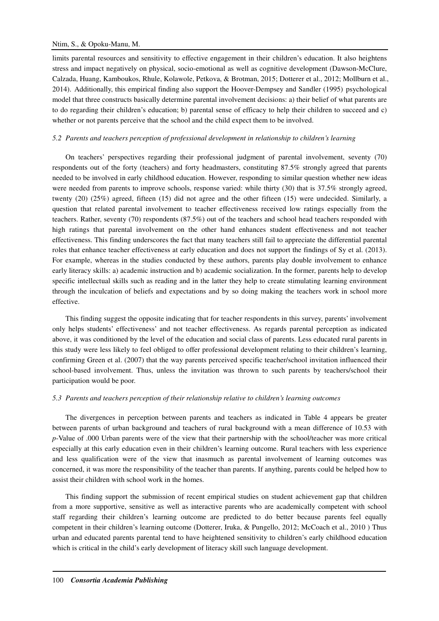limits parental resources and sensitivity to effective engagement in their children's education. It also heightens stress and impact negatively on physical, socio-emotional as well as cognitive development (Dawson-McClure, Calzada, Huang, Kamboukos, Rhule, Kolawole, Petkova, & Brotman, 2015; Dotterer et al., 2012; Mollburn et al., 2014). Additionally, this empirical finding also support the Hoover-Dempsey and Sandler (1995) psychological model that three constructs basically determine parental involvement decisions: a) their belief of what parents are to do regarding their children's education; b) parental sense of efficacy to help their children to succeed and c) whether or not parents perceive that the school and the child expect them to be involved.

## *5.2 Parents and teachers perception of professional development in relationship to children's learning*

On teachers' perspectives regarding their professional judgment of parental involvement, seventy (70) respondents out of the forty (teachers) and forty headmasters, constituting 87.5% strongly agreed that parents needed to be involved in early childhood education. However, responding to similar question whether new ideas were needed from parents to improve schools, response varied: while thirty (30) that is 37.5% strongly agreed, twenty (20) (25%) agreed, fifteen (15) did not agree and the other fifteen (15) were undecided. Similarly, a question that related parental involvement to teacher effectiveness received low ratings especially from the teachers. Rather, seventy (70) respondents (87.5%) out of the teachers and school head teachers responded with high ratings that parental involvement on the other hand enhances student effectiveness and not teacher effectiveness. This finding underscores the fact that many teachers still fail to appreciate the differential parental roles that enhance teacher effectiveness at early education and does not support the findings of Sy et al. (2013). For example, whereas in the studies conducted by these authors, parents play double involvement to enhance early literacy skills: a) academic instruction and b) academic socialization. In the former, parents help to develop specific intellectual skills such as reading and in the latter they help to create stimulating learning environment through the inculcation of beliefs and expectations and by so doing making the teachers work in school more effective.

This finding suggest the opposite indicating that for teacher respondents in this survey, parents' involvement only helps students' effectiveness' and not teacher effectiveness. As regards parental perception as indicated above, it was conditioned by the level of the education and social class of parents. Less educated rural parents in this study were less likely to feel obliged to offer professional development relating to their children's learning, confirming Green et al. (2007) that the way parents perceived specific teacher/school invitation influenced their school-based involvement. Thus, unless the invitation was thrown to such parents by teachers/school their participation would be poor.

## *5.3 Parents and teachers perception of their relationship relative to children's learning outcomes*

The divergences in perception between parents and teachers as indicated in Table 4 appears be greater between parents of urban background and teachers of rural background with a mean difference of 10.53 with *p*-Value of .000 Urban parents were of the view that their partnership with the school/teacher was more critical especially at this early education even in their children's learning outcome. Rural teachers with less experience and less qualification were of the view that inasmuch as parental involvement of learning outcomes was concerned, it was more the responsibility of the teacher than parents. If anything, parents could be helped how to assist their children with school work in the homes.

This finding support the submission of recent empirical studies on student achievement gap that children from a more supportive, sensitive as well as interactive parents who are academically competent with school staff regarding their children's learning outcome are predicted to do better because parents feel equally competent in their children's learning outcome (Dotterer, Iruka, & Pungello, 2012; McCoach et al., 2010 ) Thus urban and educated parents parental tend to have heightened sensitivity to children's early childhood education which is critical in the child's early development of literacy skill such language development.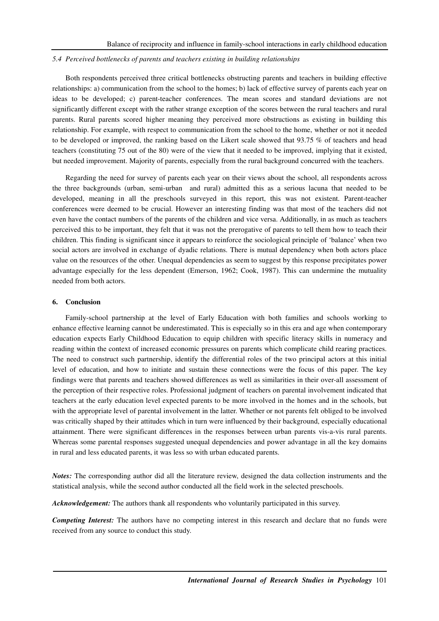### *5.4 Perceived bottlenecks of parents and teachers existing in building relationships*

Both respondents perceived three critical bottlenecks obstructing parents and teachers in building effective relationships: a) communication from the school to the homes; b) lack of effective survey of parents each year on ideas to be developed; c) parent-teacher conferences. The mean scores and standard deviations are not significantly different except with the rather strange exception of the scores between the rural teachers and rural parents. Rural parents scored higher meaning they perceived more obstructions as existing in building this relationship. For example, with respect to communication from the school to the home, whether or not it needed to be developed or improved, the ranking based on the Likert scale showed that 93.75 % of teachers and head teachers (constituting 75 out of the 80) were of the view that it needed to be improved, implying that it existed, but needed improvement. Majority of parents, especially from the rural background concurred with the teachers.

Regarding the need for survey of parents each year on their views about the school, all respondents across the three backgrounds (urban, semi-urban and rural) admitted this as a serious lacuna that needed to be developed, meaning in all the preschools surveyed in this report, this was not existent. Parent-teacher conferences were deemed to be crucial. However an interesting finding was that most of the teachers did not even have the contact numbers of the parents of the children and vice versa. Additionally, in as much as teachers perceived this to be important, they felt that it was not the prerogative of parents to tell them how to teach their children. This finding is significant since it appears to reinforce the sociological principle of 'balance' when two social actors are involved in exchange of dyadic relations. There is mutual dependency when both actors place value on the resources of the other. Unequal dependencies as seem to suggest by this response precipitates power advantage especially for the less dependent (Emerson, 1962; Cook, 1987). This can undermine the mutuality needed from both actors.

# **6. Conclusion**

Family-school partnership at the level of Early Education with both families and schools working to enhance effective learning cannot be underestimated. This is especially so in this era and age when contemporary education expects Early Childhood Education to equip children with specific literacy skills in numeracy and reading within the context of increased economic pressures on parents which complicate child rearing practices. The need to construct such partnership, identify the differential roles of the two principal actors at this initial level of education, and how to initiate and sustain these connections were the focus of this paper. The key findings were that parents and teachers showed differences as well as similarities in their over-all assessment of the perception of their respective roles. Professional judgment of teachers on parental involvement indicated that teachers at the early education level expected parents to be more involved in the homes and in the schools, but with the appropriate level of parental involvement in the latter. Whether or not parents felt obliged to be involved was critically shaped by their attitudes which in turn were influenced by their background, especially educational attainment. There were significant differences in the responses between urban parents vis-a-vis rural parents. Whereas some parental responses suggested unequal dependencies and power advantage in all the key domains in rural and less educated parents, it was less so with urban educated parents.

*Notes:* The corresponding author did all the literature review, designed the data collection instruments and the statistical analysis, while the second author conducted all the field work in the selected preschools.

*Acknowledgement:* The authors thank all respondents who voluntarily participated in this survey.

*Competing Interest:* The authors have no competing interest in this research and declare that no funds were received from any source to conduct this study.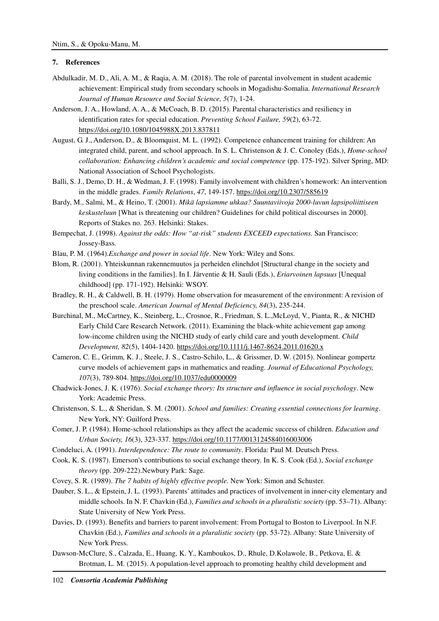# **7. References**

- Abdulkadir, M. D., Ali, A. M., & Raqia, A. M. (2018). The role of parental involvement in student academic achievement: Empirical study from secondary schools in Mogadishu-Somalia. *International Research Journal of Human Resource and Social Science, 5*(7), 1-24.
- Anderson, J. A., Howland, A. A., & McCoach, B. D. (2015). Parental characteristics and resiliency in identification rates for special education. *Preventing School Failure, 59*(2), 63-72. https://doi.org/10.1080/1045988X.2013.837811
- August, G. J., Anderson, D., & Bloomquist, M. L. (1992). Competence enhancement training for children: An integrated child, parent, and school approach. In S. L. Christenson & J. C. Conoley (Eds.), *Home-school collaboration: Enhancing children's academic and social competence* (pp. 175-192). Silver Spring, MD: National Association of School Psychologists.
- Balli, S. J., Demo, D. H., & Wedman, J. F. (1998). Family involvement with children's homework: An intervention in the middle grades. *Family Relations*, *47*, 149-157. https://doi.org/10.2307/585619
- Bardy, M., Salmi, M., & Heino, T. (2001). *Mikä lapsiamme uhkaa? Suuntaviivoja 2000-luvun lapsipoliittiseen keskusteluun* [What is threatening our children? Guidelines for child political discourses in 2000]. Reports of Stakes no. 263. Helsinki: Stakes.
- Bempechat, J. (1998). *Against the odds: How "at-risk" students EXCEED expectations.* San Francisco: Jossey-Bass.
- Blau, P. M. (1964).*Exchange and power in social life*. New York: Wiley and Sons.
- Blom, R. (2001). Yhteiskunnan rakennemuutos ja perheiden elinehdot [Structural change in the society and living conditions in the families]. In I. Järventie & H. Sauli (Eds.), *Eriarvoinen lapsuus* [Unequal childhood] (pp. 171-192). Helsinki: WSOY.
- Bradley, R. H., & Caldwell, B. H. (1979). Home observation for measurement of the environment: A revision of the preschool scale. *American Journal of Mental Deficiency, 84*(3), 235-244.
- Burchinal, M., McCartney, K., Steinberg, L., Crosnoe, R., Friedman, S. L.,McLoyd, V., Pianta, R., & NICHD Early Child Care Research Network. (2011). Examining the black-white achievement gap among low-income children using the NICHD study of early child care and youth development. *Child Development, 82*(5), 1404-1420. https://doi.org/10.1111/j.1467-8624.2011.01620.x
- Cameron, C. E., Grimm, K. J., Steele, J. S., Castro-Schilo, L., & Grissmer, D. W. (2015). Nonlinear gompertz curve models of achievement gaps in mathematics and reading. *Journal of Educational Psychology, 107*(3), 789-804. https://doi.org/10.1037/edu0000009
- Chadwick-Jones, J. K. (1976). *Social exchange theory: Its structure and influence in social psychology*. New York: Academic Press.
- Christenson, S. L., & Sheridan, S. M. (2001). *School and families: Creating essential connections for learning*. New York, NY: Guilford Press.
- Comer, J. P. (1984). Home-school relationships as they affect the academic success of children. *Education and Urban Society, 16*(3), 323-337. https://doi.org/10.1177/0013124584016003006
- Condeluci, A. (1991). *Interdependence: The route to community*. Florida: Paul M. Deutsch Press.
- Cook, K. S. (1987). Emerson's contributions to social exchange theory. In K. S. Cook (Ed.), *Social exchange theory* (pp. 209-222).Newbury Park: Sage.
- Covey, S. R. (1989). *The 7 habits of highly effective people.* New York: Simon and Schuster.
- Dauber, S. L., & Epstein, J. L. (1993). Parents' attitudes and practices of involvement in inner-city elementary and middle schools. In N. F. Chavkin (Ed.), *Families and schools in a pluralistic society* (pp. 53–71). Albany: State University of New York Press.
- Davies, D. (1993). Benefits and barriers to parent involvement: From Portugal to Boston to Liverpool. In N.F. Chavkin (Ed.), *Families and schools in a pluralistic society* (pp. 53-72). Albany: State University of New York Press.
- Dawson-McClure, S., Calzada, E., Huang, K. Y., Kamboukos, D., Rhule, D.Kolawole, B., Petkova, E. & Brotman, L. M. (2015). A population-level approach to promoting healthy child development and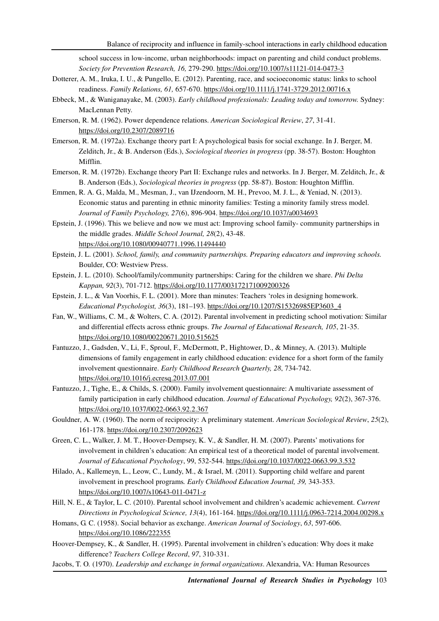school success in low-income, urban neighborhoods: impact on parenting and child conduct problems. *Society for Prevention Research, 16,* 279-290. https://doi.org/10.1007/s11121-014-0473-3

- Dotterer, A. M., Iruka, I. U., & Pungello, E. (2012). Parenting, race, and socioeconomic status: links to school readiness. *Family Relations, 61,* 657-670. https://doi.org/10.1111/j.1741-3729.2012.00716.x
- Ebbeck, M., & Waniganayake, M. (2003). *Early childhood professionals: Leading today and tomorrow.* Sydney: MacLennan Petty.
- Emerson, R. M. (1962). Power dependence relations. *American Sociological Review*, *27*, 31-41. https://doi.org/10.2307/2089716
- Emerson, R. M. (1972a). Exchange theory part I: A psychological basis for social exchange. In J. Berger, M. Zelditch, Jr., & B. Anderson (Eds.), *Sociological theories in progress* (pp. 38-57). Boston: Houghton Mifflin.
- Emerson, R. M. (1972b). Exchange theory Part II: Exchange rules and networks. In J. Berger, M. Zelditch, Jr., & B. Anderson (Eds.), *Sociological theories in progress* (pp. 58-87). Boston: Houghton Mifflin.
- Emmen, R. A. G., Malda, M., Mesman, J., van IJzendoorn, M. H., Prevoo, M. J. L., & Yeniad, N. (2013). Economic status and parenting in ethnic minority families: Testing a minority family stress model. *Journal of Family Psychology, 27*(6), 896-904. https://doi.org/10.1037/a0034693
- Epstein, J. (1996). This we believe and now we must act: Improving school family- community partnerships in the middle grades. *Middle School Journal, 28*(2), 43-48. https://doi.org/10.1080/00940771.1996.11494440
- Epstein, J. L. (2001). *School, family, and community partnerships. Preparing educators and improving schools.*  Boulder, CO: Westview Press.
- Epstein, J. L. (2010). School/family/community partnerships: Caring for the children we share. *Phi Delta Kappan, 92*(3), 701-712. https://doi.org/10.1177/003172171009200326
- Epstein, J. L., & Van Voorhis, F. L. (2001). More than minutes: Teachers 'roles in designing homework. *Educational Psychologist, 36*(3), 181–193. https://doi.org/10.1207/S15326985EP3603\_4
- Fan, W., Williams, C. M., & Wolters, C. A. (2012). Parental involvement in predicting school motivation: Similar and differential effects across ethnic groups. *The Journal of Educational Research, 105*, 21-35. https://doi.org/10.1080/00220671.2010.515625
- Fantuzzo, J., Gadsden, V., Li, F., Sproul, F., McDermott, P., Hightower, D., & Minney, A. (2013). Multiple dimensions of family engagement in early childhood education: evidence for a short form of the family involvement questionnaire. *Early Childhood Research Quarterly, 28*, 734-742. https://doi.org/10.1016/j.ecresq.2013.07.001
- Fantuzzo, J., Tighe, E., & Childs, S. (2000). Family involvement questionnaire: A multivariate assessment of family participation in early childhood education. *Journal of Educational Psychology, 92*(2), 367-376. https://doi.org/10.1037/0022-0663.92.2.367
- Gouldner, A. W. (1960). The norm of reciprocity: A preliminary statement. *American Sociological Review*, *25*(2), 161-178. https://doi.org/10.2307/2092623
- Green, C. L., Walker, J. M. T., Hoover-Dempsey, K. V., & Sandler, H. M. (2007). Parents' motivations for involvement in children's education: An empirical test of a theoretical model of parental involvement. *Journal of Educational Psychology*, 99, 532-544. https://doi.org/10.1037/0022-0663.99.3.532
- Hilado, A., Kallemeyn, L., Leow, C., Lundy, M., & Israel, M. (2011). Supporting child welfare and parent involvement in preschool programs*. Early Childhood Education Journal, 39,* 343-353. https://doi.org/10.1007/s10643-011-0471-z
- Hill, N. E., & Taylor, L. C. (2010). Parental school involvement and children's academic achievement. *Current Directions in Psychological Science, 13*(4), 161-164. https://doi.org/10.1111/j.0963-7214.2004.00298.x
- Homans, G. C. (1958). Social behavior as exchange. *American Journal of Sociology*, *63*, 597-606. https://doi.org/10.1086/222355
- Hoover-Dempsey, K., & Sandler, H. (1995). Parental involvement in children's education: Why does it make difference? *Teachers College Record*, *97*, 310-331.
- Jacobs, T. O*.* (1970). *Leadership and exchange in formal organizations*. Alexandria, VA: Human Resources